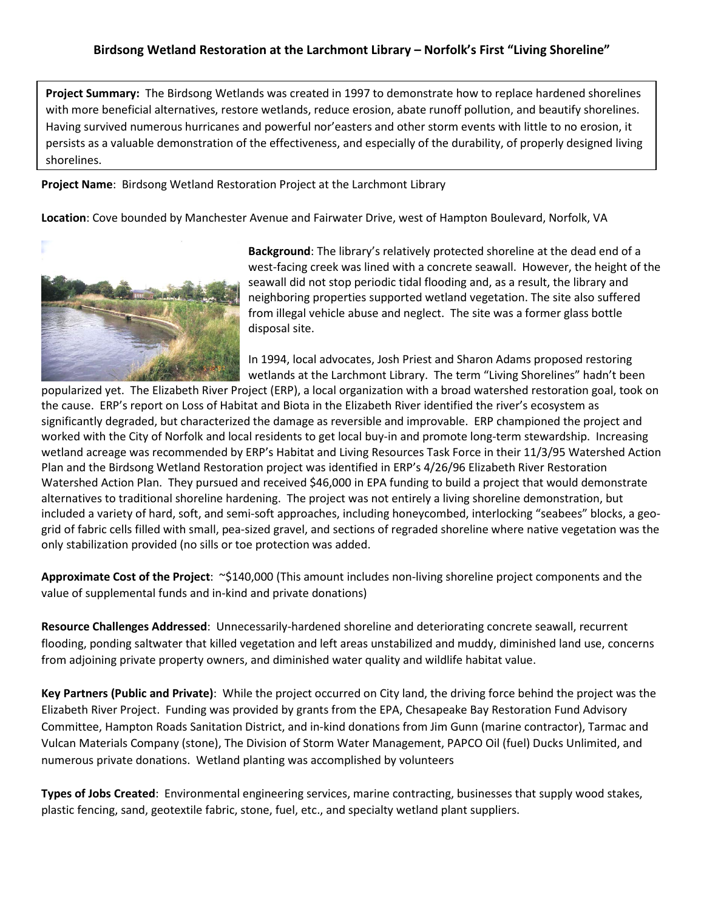**Project Summary:** The Birdsong Wetlands was created in 1997 to demonstrate how to replace hardened shorelines with more beneficial alternatives, restore wetlands, reduce erosion, abate runoff pollution, and beautify shorelines. Having survived numerous hurricanes and powerful nor'easters and other storm events with little to no erosion, it persists as a valuable demonstration of the effectiveness, and especially of the durability, of properly designed living shorelines.

**Project Name**: Birdsong Wetland Restoration Project at the Larchmont Library

**Location**: Cove bounded by Manchester Avenue and Fairwater Drive, west of Hampton Boulevard, Norfolk, VA



**Background**: The library's relatively protected shoreline at the dead end of a west-facing creek was lined with a concrete seawall. However, the height of the seawall did not stop periodic tidal flooding and, as a result, the library and neighboring properties supported wetland vegetation. The site also suffered from illegal vehicle abuse and neglect. The site was a former glass bottle disposal site.

In 1994, local advocates, Josh Priest and Sharon Adams proposed restoring wetlands at the Larchmont Library. The term "Living Shorelines" hadn't been

popularized yet. The Elizabeth River Project (ERP), a local organization with a broad watershed restoration goal, took on the cause. ERP's report on Loss of Habitat and Biota in the Elizabeth River identified the river's ecosystem as significantly degraded, but characterized the damage as reversible and improvable. ERP championed the project and worked with the City of Norfolk and local residents to get local buy-in and promote long-term stewardship. Increasing wetland acreage was recommended by ERP's Habitat and Living Resources Task Force in their 11/3/95 Watershed Action Plan and the Birdsong Wetland Restoration project was identified in ERP's 4/26/96 Elizabeth River Restoration Watershed Action Plan. They pursued and received \$46,000 in EPA funding to build a project that would demonstrate alternatives to traditional shoreline hardening. The project was not entirely a living shoreline demonstration, but included a variety of hard, soft, and semi-soft approaches, including honeycombed, interlocking "seabees" blocks, a geogrid of fabric cells filled with small, pea-sized gravel, and sections of regraded shoreline where native vegetation was the only stabilization provided (no sills or toe protection was added.

**Approximate Cost of the Project**: ~\$140,000 (This amount includes non-living shoreline project components and the value of supplemental funds and in-kind and private donations)

**Resource Challenges Addressed**: Unnecessarily-hardened shoreline and deteriorating concrete seawall, recurrent flooding, ponding saltwater that killed vegetation and left areas unstabilized and muddy, diminished land use, concerns from adjoining private property owners, and diminished water quality and wildlife habitat value.

**Key Partners (Public and Private)**: While the project occurred on City land, the driving force behind the project was the Elizabeth River Project. Funding was provided by grants from the EPA, Chesapeake Bay Restoration Fund Advisory Committee, Hampton Roads Sanitation District, and in-kind donations from Jim Gunn (marine contractor), Tarmac and Vulcan Materials Company (stone), The Division of Storm Water Management, PAPCO Oil (fuel) Ducks Unlimited, and numerous private donations. Wetland planting was accomplished by volunteers

**Types of Jobs Created**: Environmental engineering services, marine contracting, businesses that supply wood stakes, plastic fencing, sand, geotextile fabric, stone, fuel, etc., and specialty wetland plant suppliers.